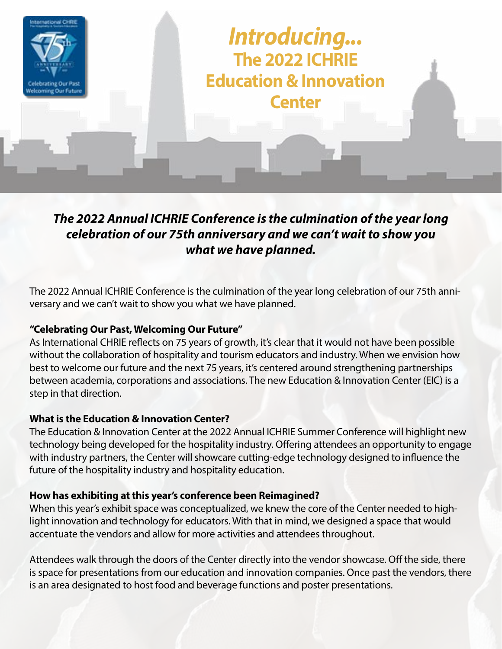

# *The 2022 Annual ICHRIE Conference is the culmination of the year long celebration of our 75th anniversary and we can't wait to show you what we have planned.*

The 2022 Annual ICHRIE Conference is the culmination of the year long celebration of our 75th anniversary and we can't wait to show you what we have planned.

## **"Celebrating Our Past, Welcoming Our Future"**

As International CHRIE reflects on 75 years of growth, it's clear that it would not have been possible without the collaboration of hospitality and tourism educators and industry. When we envision how best to welcome our future and the next 75 years, it's centered around strengthening partnerships between academia, corporations and associations. The new Education & Innovation Center (EIC) is a step in that direction.

## **What is the Education & Innovation Center?**

The Education & Innovation Center at the 2022 Annual ICHRIE Summer Conference will highlight new technology being developed for the hospitality industry. Offering attendees an opportunity to engage with industry partners, the Center will showcare cutting-edge technology designed to influence the future of the hospitality industry and hospitality education.

## **How has exhibiting at this year's conference been Reimagined?**

When this year's exhibit space was conceptualized, we knew the core of the Center needed to highlight innovation and technology for educators. With that in mind, we designed a space that would accentuate the vendors and allow for more activities and attendees throughout.

Attendees walk through the doors of the Center directly into the vendor showcase. Off the side, there is space for presentations from our education and innovation companies. Once past the vendors, there is an area designated to host food and beverage functions and poster presentations.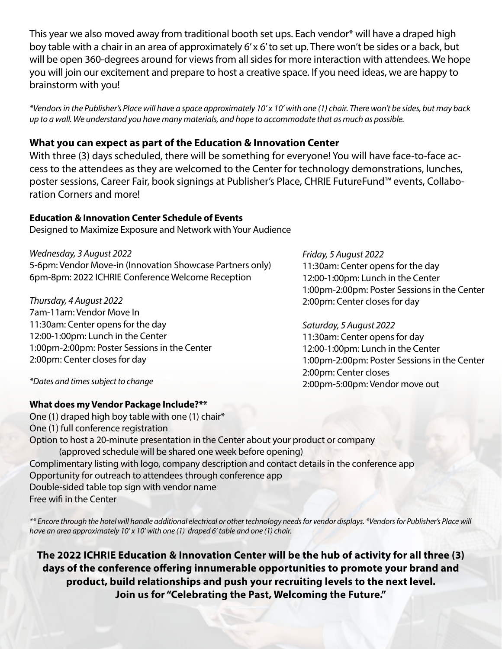This year we also moved away from traditional booth set ups. Each vendor\* will have a draped high boy table with a chair in an area of approximately 6' x 6' to set up. There won't be sides or a back, but will be open 360-degrees around for views from all sides for more interaction with attendees. We hope you will join our excitement and prepare to host a creative space. If you need ideas, we are happy to brainstorm with you!

*\*Vendors in the Publisher's Place will have a space approximately 10' x 10' with one (1) chair. There won't be sides, but may back up to a wall. We understand you have many materials, and hope to accommodate that as much as possible.*

### **What you can expect as part of the Education & Innovation Center**

With three (3) days scheduled, there will be something for everyone! You will have face-to-face access to the attendees as they are welcomed to the Center for technology demonstrations, lunches, poster sessions, Career Fair, book signings at Publisher's Place, CHRIE FutureFund™ events, Collaboration Corners and more!

#### **Education & Innovation Center Schedule of Events**

Designed to Maximize Exposure and Network with Your Audience

*Wednesday, 3 August 2022* 5-6pm: Vendor Move-in (Innovation Showcase Partners only) 6pm-8pm: 2022 ICHRIE Conference Welcome Reception

*Thursday, 4 August 2022* 7am-11am: Vendor Move In 11:30am: Center opens for the day 12:00-1:00pm: Lunch in the Center 1:00pm-2:00pm: Poster Sessions in the Center 2:00pm: Center closes for day

*Friday, 5 August 2022* 11:30am: Center opens for the day 12:00-1:00pm: Lunch in the Center 1:00pm-2:00pm: Poster Sessions in the Center 2:00pm: Center closes for day

*Saturday, 5 August 2022* 11:30am: Center opens for day 12:00-1:00pm: Lunch in the Center 1:00pm-2:00pm: Poster Sessions in the Center 2:00pm: Center closes 2:00pm-5:00pm: Vendor move out

*\*Dates and times subject to change*

#### **What does my Vendor Package Include?\*\***

One (1) draped high boy table with one (1) chair\* One (1) full conference registration Option to host a 20-minute presentation in the Center about your product or company (approved schedule will be shared one week before opening) Complimentary listing with logo, company description and contact details in the conference app Opportunity for outreach to attendees through conference app Double-sided table top sign with vendor name Free wifi in the Center

*\*\* Encore through the hotel will handle additional electrical or other technology needs for vendor displays. \*Vendors for Publisher's Place will have an area approximately 10' x 10' with one (1) draped 6' table and one (1) chair.* 

**The 2022 ICHRIE Education & Innovation Center will be the hub of activity for all three (3) days of the conference offering innumerable opportunities to promote your brand and product, build relationships and push your recruiting levels to the next level. Join us for "Celebrating the Past, Welcoming the Future."**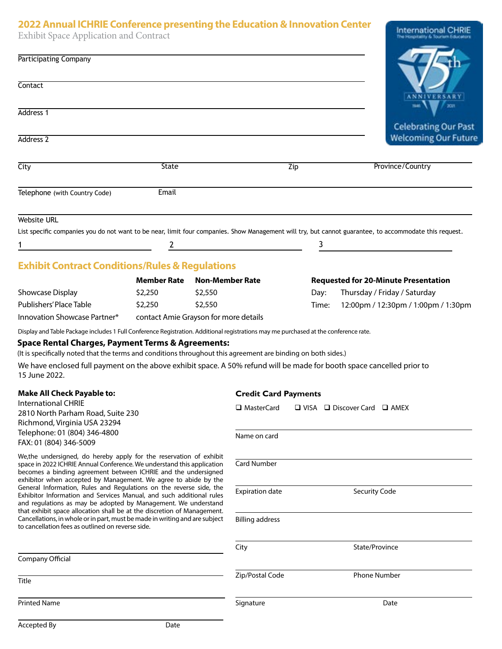#### **2022 Annual ICHRIE Conference presenting the Education & Innovation Center**

International CHRIE

Exhibit Space Application and Contract

| <b>EXHIDIC Space Application and Contract</b>                                                                                                                                                                                                                                                                                                                                                                                                                                                                                                                                                                                                                                                                      |                                       |                        |                             |                                              | тна элементалту бы Тошпант Есвионики                                                                                                                   |
|--------------------------------------------------------------------------------------------------------------------------------------------------------------------------------------------------------------------------------------------------------------------------------------------------------------------------------------------------------------------------------------------------------------------------------------------------------------------------------------------------------------------------------------------------------------------------------------------------------------------------------------------------------------------------------------------------------------------|---------------------------------------|------------------------|-----------------------------|----------------------------------------------|--------------------------------------------------------------------------------------------------------------------------------------------------------|
| <b>Participating Company</b>                                                                                                                                                                                                                                                                                                                                                                                                                                                                                                                                                                                                                                                                                       |                                       |                        |                             |                                              |                                                                                                                                                        |
| Contact                                                                                                                                                                                                                                                                                                                                                                                                                                                                                                                                                                                                                                                                                                            |                                       |                        |                             |                                              | <b>NNIVERSARY</b>                                                                                                                                      |
| Address 1                                                                                                                                                                                                                                                                                                                                                                                                                                                                                                                                                                                                                                                                                                          |                                       |                        |                             |                                              | <b>ZOZY</b>                                                                                                                                            |
| Address <sub>2</sub>                                                                                                                                                                                                                                                                                                                                                                                                                                                                                                                                                                                                                                                                                               |                                       |                        |                             |                                              | <b>Celebrating Our Past</b><br><b>Welcoming Our Future</b>                                                                                             |
| City                                                                                                                                                                                                                                                                                                                                                                                                                                                                                                                                                                                                                                                                                                               | <b>State</b>                          |                        |                             | Zip                                          | Province/Country                                                                                                                                       |
|                                                                                                                                                                                                                                                                                                                                                                                                                                                                                                                                                                                                                                                                                                                    |                                       |                        |                             |                                              |                                                                                                                                                        |
| Telephone (with Country Code)                                                                                                                                                                                                                                                                                                                                                                                                                                                                                                                                                                                                                                                                                      | Email                                 |                        |                             |                                              |                                                                                                                                                        |
| <b>Website URL</b>                                                                                                                                                                                                                                                                                                                                                                                                                                                                                                                                                                                                                                                                                                 |                                       |                        |                             |                                              |                                                                                                                                                        |
|                                                                                                                                                                                                                                                                                                                                                                                                                                                                                                                                                                                                                                                                                                                    |                                       |                        |                             |                                              | List specific companies you do not want to be near, limit four companies. Show Management will try, but cannot guarantee, to accommodate this request. |
|                                                                                                                                                                                                                                                                                                                                                                                                                                                                                                                                                                                                                                                                                                                    |                                       |                        | $\overline{2}$              | 3                                            |                                                                                                                                                        |
| <b>Exhibit Contract Conditions/Rules &amp; Regulations</b>                                                                                                                                                                                                                                                                                                                                                                                                                                                                                                                                                                                                                                                         |                                       |                        |                             |                                              |                                                                                                                                                        |
|                                                                                                                                                                                                                                                                                                                                                                                                                                                                                                                                                                                                                                                                                                                    | <b>Member Rate</b>                    | <b>Non-Member Rate</b> |                             |                                              | <b>Requested for 20-Minute Presentation</b>                                                                                                            |
| Showcase Display                                                                                                                                                                                                                                                                                                                                                                                                                                                                                                                                                                                                                                                                                                   | \$2,250                               | \$2,550                |                             | Day:                                         | Thursday / Friday / Saturday                                                                                                                           |
| Publishers' Place Table                                                                                                                                                                                                                                                                                                                                                                                                                                                                                                                                                                                                                                                                                            | \$2,250                               | \$2,550                |                             | Time:                                        | 12:00pm / 12:30pm / 1:00pm / 1:30pm                                                                                                                    |
| Innovation Showcase Partner*                                                                                                                                                                                                                                                                                                                                                                                                                                                                                                                                                                                                                                                                                       | contact Amie Grayson for more details |                        |                             |                                              |                                                                                                                                                        |
| (It is specifically noted that the terms and conditions throughout this agreement are binding on both sides.)<br>We have enclosed full payment on the above exhibit space. A 50% refund will be made for booth space cancelled prior to<br>15 June 2022.                                                                                                                                                                                                                                                                                                                                                                                                                                                           |                                       |                        |                             |                                              |                                                                                                                                                        |
| <b>Make All Check Payable to:</b>                                                                                                                                                                                                                                                                                                                                                                                                                                                                                                                                                                                                                                                                                  |                                       |                        | <b>Credit Card Payments</b> |                                              |                                                                                                                                                        |
| <b>International CHRIE</b><br>2810 North Parham Road, Suite 230<br>Richmond, Virginia USA 23294                                                                                                                                                                                                                                                                                                                                                                                                                                                                                                                                                                                                                    |                                       | □ MasterCard           |                             | $\Box$ VISA $\Box$ Discover Card $\Box$ AMEX |                                                                                                                                                        |
| Telephone: 01 (804) 346-4800<br>FAX: 01 (804) 346-5009                                                                                                                                                                                                                                                                                                                                                                                                                                                                                                                                                                                                                                                             |                                       |                        | Name on card                |                                              |                                                                                                                                                        |
| We, the undersigned, do hereby apply for the reservation of exhibit<br>space in 2022 ICHRIE Annual Conference. We understand this application<br>becomes a binding agreement between ICHRIE and the undersigned<br>exhibitor when accepted by Management. We agree to abide by the<br>General Information, Rules and Regulations on the reverse side, the<br>Exhibitor Information and Services Manual, and such additional rules<br>and regulations as may be adopted by Management. We understand<br>that exhibit space allocation shall be at the discretion of Management.<br>Cancellations, in whole or in part, must be made in writing and are subject<br>to cancellation fees as outlined on reverse side. |                                       |                        | Card Number                 |                                              |                                                                                                                                                        |
|                                                                                                                                                                                                                                                                                                                                                                                                                                                                                                                                                                                                                                                                                                                    |                                       |                        | <b>Expiration date</b>      |                                              | Security Code                                                                                                                                          |
|                                                                                                                                                                                                                                                                                                                                                                                                                                                                                                                                                                                                                                                                                                                    |                                       |                        | <b>Billing address</b>      |                                              |                                                                                                                                                        |
|                                                                                                                                                                                                                                                                                                                                                                                                                                                                                                                                                                                                                                                                                                                    |                                       |                        | City                        |                                              | State/Province                                                                                                                                         |
| Company Official                                                                                                                                                                                                                                                                                                                                                                                                                                                                                                                                                                                                                                                                                                   |                                       |                        |                             |                                              |                                                                                                                                                        |
| <b>Title</b>                                                                                                                                                                                                                                                                                                                                                                                                                                                                                                                                                                                                                                                                                                       |                                       |                        | Zip/Postal Code             |                                              | <b>Phone Number</b>                                                                                                                                    |
| <b>Printed Name</b>                                                                                                                                                                                                                                                                                                                                                                                                                                                                                                                                                                                                                                                                                                |                                       |                        | Signature                   |                                              | Date                                                                                                                                                   |
| Accepted By                                                                                                                                                                                                                                                                                                                                                                                                                                                                                                                                                                                                                                                                                                        | Date                                  |                        |                             |                                              |                                                                                                                                                        |